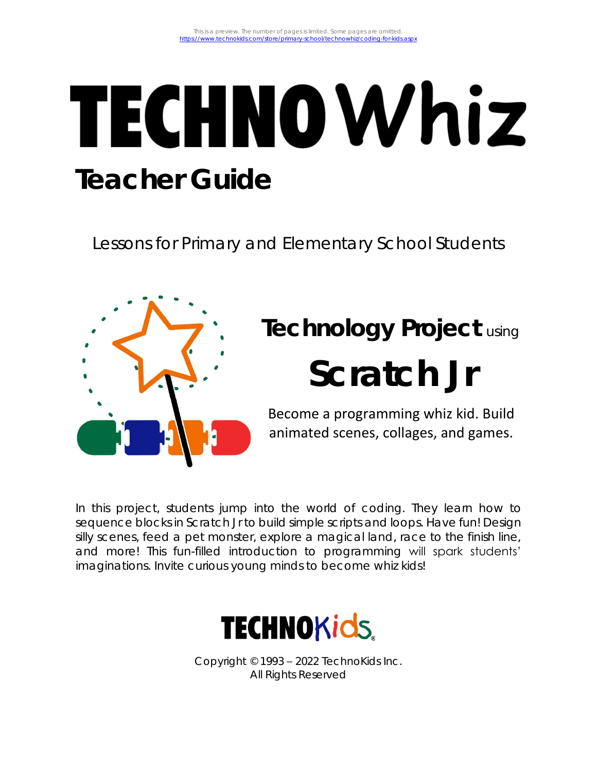# TECHNOWhiz **Teacher Guide**

Lessons for Primary and Elementary School Students



# **Technology Project** using

# **Scratch Jr**

Become a programming whiz kid. Build animated scenes, collages, and games.

In this project, students jump into the world of coding. They learn how to sequence blocks in Scratch Jr to build simple scripts and loops. Have fun! Design silly scenes, feed a pet monster, explore a magical land, race to the finish line, and more! This fun-filled introduction to programming will spark students' imaginations. Invite curious young minds to become whiz kids!



Copyright © 1993 – 2022 TechnoKids Inc. All Rights Reserved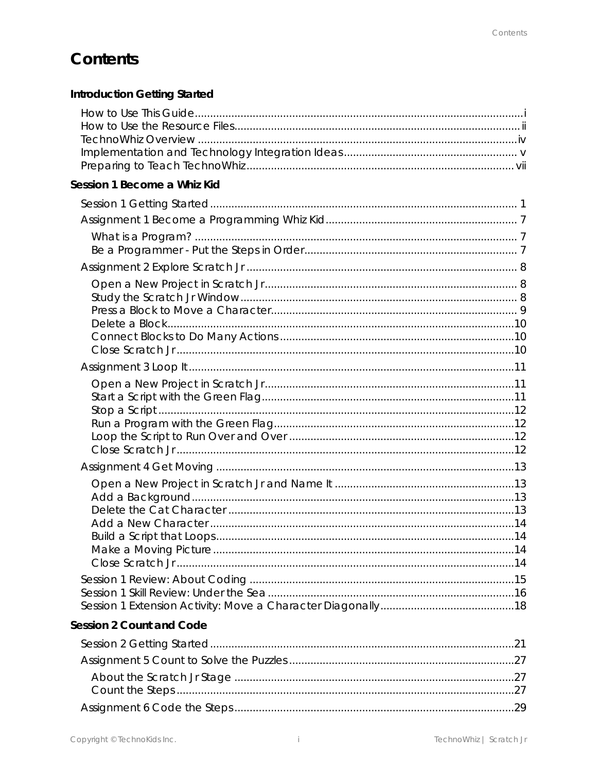# Contents

| Session 1 Become a Whiz Kid |  |
|-----------------------------|--|
|                             |  |
|                             |  |
|                             |  |
|                             |  |
|                             |  |
|                             |  |
|                             |  |
|                             |  |
|                             |  |
|                             |  |
| Session 2 Count and Code    |  |
|                             |  |
|                             |  |
|                             |  |
|                             |  |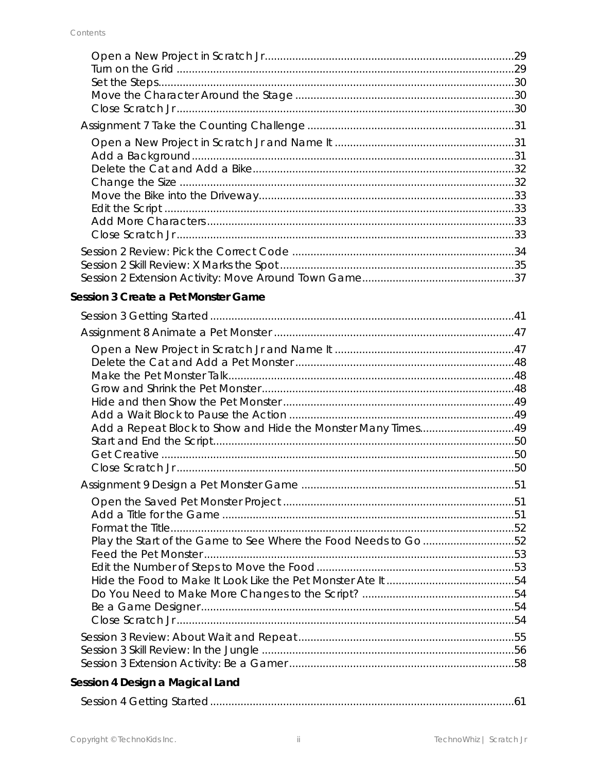| Session 3 Create a Pet Monster Game                             |  |
|-----------------------------------------------------------------|--|
|                                                                 |  |
|                                                                 |  |
|                                                                 |  |
|                                                                 |  |
|                                                                 |  |
|                                                                 |  |
|                                                                 |  |
| Add a Repeat Block to Show and Hide the Monster Many Times49    |  |
|                                                                 |  |
|                                                                 |  |
|                                                                 |  |
|                                                                 |  |
|                                                                 |  |
| Play the Start of the Game to See Where the Food Needs to Go 52 |  |
|                                                                 |  |
|                                                                 |  |
|                                                                 |  |
|                                                                 |  |
|                                                                 |  |
|                                                                 |  |
|                                                                 |  |
|                                                                 |  |
| Session 4 Design a Magical Land                                 |  |
|                                                                 |  |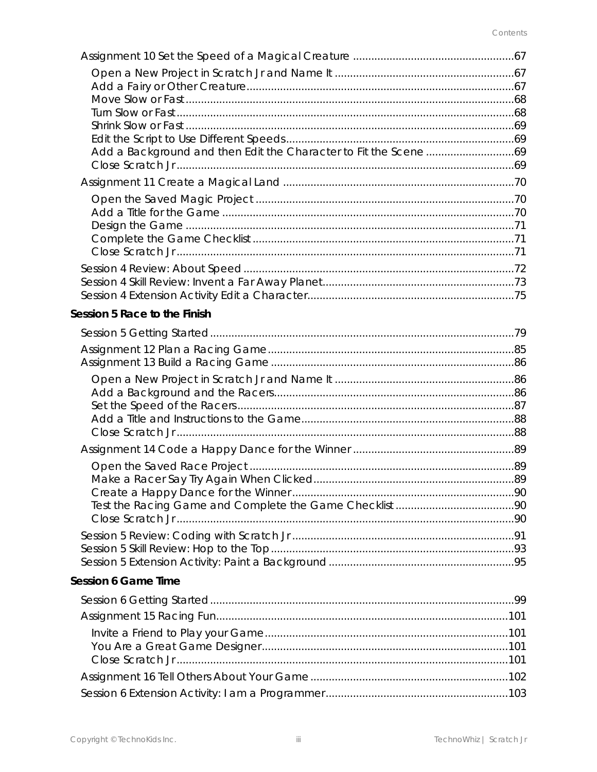| Session 5 Race to the Finish |  |
|------------------------------|--|
|                              |  |
|                              |  |
|                              |  |
|                              |  |
|                              |  |
|                              |  |
|                              |  |
|                              |  |
|                              |  |
|                              |  |
|                              |  |
|                              |  |
|                              |  |
|                              |  |
|                              |  |
|                              |  |
| Session 6 Game Time          |  |
|                              |  |
|                              |  |
|                              |  |
|                              |  |
|                              |  |
|                              |  |
|                              |  |
|                              |  |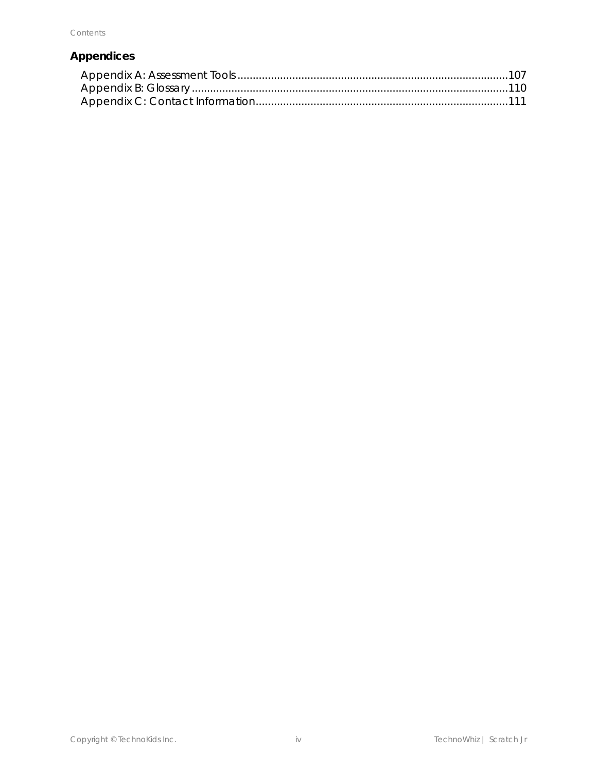#### **Appendices**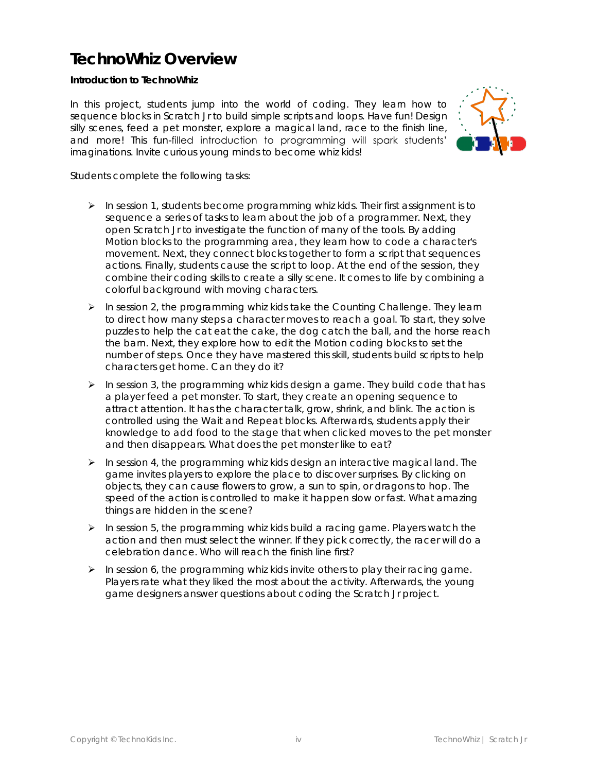# **TechnoWhiz Overview**

**Introduction to TechnoWhiz**

In this project, students jump into the world of coding. They learn how to sequence blocks in Scratch Jr to build simple scripts and loops. Have fun! Design silly scenes, feed a pet monster, explore a magical land, race to the finish line, and more! This fun-filled introduction to programming will spark students' imaginations. Invite curious young minds to become whiz kids!



Students complete the following tasks:

- $\triangleright$  In session 1, students become programming whiz kids. Their first assignment is to sequence a series of tasks to learn about the job of a programmer. Next, they open Scratch Jr to investigate the function of many of the tools. By adding Motion blocks to the programming area, they learn how to code a character's movement. Next, they connect blocks together to form a script that sequences actions. Finally, students cause the script to loop. At the end of the session, they combine their coding skills to create a silly scene. It comes to life by combining a colorful background with moving characters.
- $\triangleright$  In session 2, the programming whiz kids take the Counting Challenge. They learn to direct how many steps a character moves to reach a goal. To start, they solve puzzles to help the cat eat the cake, the dog catch the ball, and the horse reach the barn. Next, they explore how to edit the Motion coding blocks to set the number of steps. Once they have mastered this skill, students build scripts to help characters get home. Can they do it?
- $\triangleright$  In session 3, the programming whiz kids design a game. They build code that has a player feed a pet monster. To start, they create an opening sequence to attract attention. It has the character talk, grow, shrink, and blink. The action is controlled using the Wait and Repeat blocks. Afterwards, students apply their knowledge to add food to the stage that when clicked moves to the pet monster and then disappears. What does the pet monster like to eat?
- $\triangleright$  In session 4, the programming whiz kids design an interactive magical land. The game invites players to explore the place to discover surprises. By clicking on objects, they can cause flowers to grow, a sun to spin, or dragons to hop. The speed of the action is controlled to make it happen slow or fast. What amazing things are hidden in the scene?
- $\triangleright$  In session 5, the programming whiz kids build a racing game. Players watch the action and then must select the winner. If they pick correctly, the racer will do a celebration dance. Who will reach the finish line first?
- $\triangleright$  In session 6, the programming whiz kids invite others to play their racing game. Players rate what they liked the most about the activity. Afterwards, the young game designers answer questions about coding the Scratch Jr project.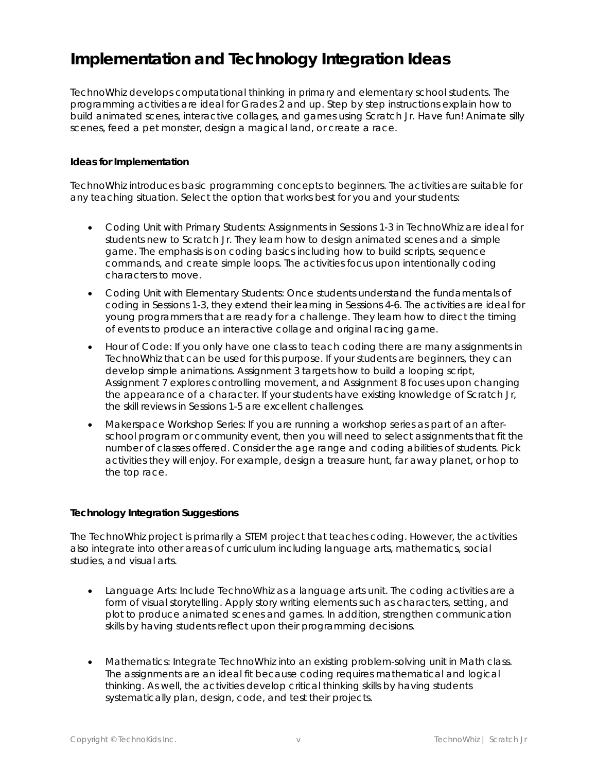# **Implementation and Technology Integration Ideas**

TechnoWhiz develops computational thinking in primary and elementary school students. The programming activities are ideal for Grades 2 and up. Step by step instructions explain how to build animated scenes, interactive collages, and games using Scratch Jr. Have fun! Animate silly scenes, feed a pet monster, design a magical land, or create a race.

#### **Ideas for Implementation**

TechnoWhiz introduces basic programming concepts to beginners. The activities are suitable for any teaching situation. Select the option that works best for you and your students:

- *Coding Unit with Primary Students*: Assignments in Sessions 1-3 in TechnoWhiz are ideal for students new to Scratch Jr. They learn how to design animated scenes and a simple game. The emphasis is on coding basics including how to build scripts, sequence commands, and create simple loops. The activities focus upon intentionally coding characters to move.
- *Coding Unit with Elementary Students:* Once students understand the fundamentals of coding in Sessions 1-3, they extend their learning in Sessions 4-6. The activities are ideal for young programmers that are ready for a challenge. They learn how to direct the timing of events to produce an interactive collage and original racing game.
- *Hour of Code*: If you only have one class to teach coding there are many assignments in TechnoWhiz that can be used for this purpose. If your students are beginners, they can develop simple animations. Assignment 3 targets how to build a looping script, Assignment 7 explores controlling movement, and Assignment 8 focuses upon changing the appearance of a character. If your students have existing knowledge of Scratch Jr, the skill reviews in Sessions 1-5 are excellent challenges.
- *Makerspace Workshop Series*: If you are running a workshop series as part of an afterschool program or community event, then you will need to select assignments that fit the number of classes offered. Consider the age range and coding abilities of students. Pick activities they will enjoy. For example, design a treasure hunt, far away planet, or hop to the top race.

#### **Technology Integration Suggestions**

The TechnoWhiz project is primarily a STEM project that teaches coding. However, the activities also integrate into other areas of curriculum including language arts, mathematics, social studies, and visual arts.

- *Language Arts*: Include TechnoWhiz as a language arts unit. The coding activities are a form of visual storytelling. Apply story writing elements such as characters, setting, and plot to produce animated scenes and games. In addition, strengthen communication skills by having students reflect upon their programming decisions.
- *Mathematics*: Integrate TechnoWhiz into an existing problem-solving unit in Math class. The assignments are an ideal fit because coding requires mathematical and logical thinking. As well, the activities develop critical thinking skills by having students systematically plan, design, code, and test their projects.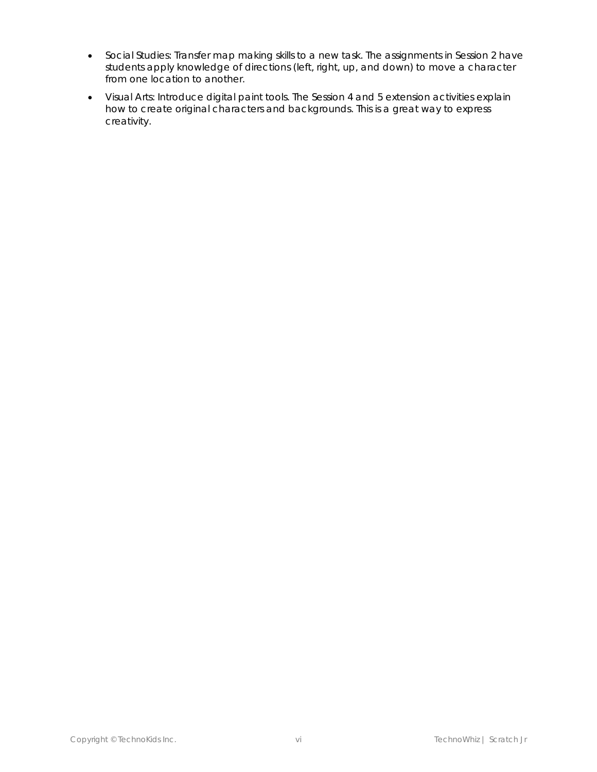- *Social Studies*: Transfer map making skills to a new task. The assignments in Session 2 have students apply knowledge of directions (left, right, up, and down) to move a character from one location to another.
- *Visual Arts*: Introduce digital paint tools. The Session 4 and 5 extension activities explain how to create original characters and backgrounds. This is a great way to express creativity.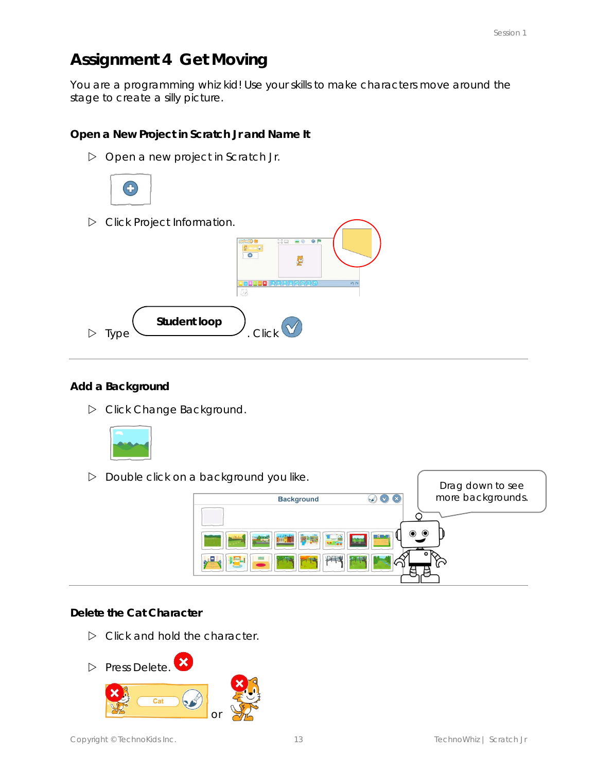# **Assignment 4 Get Moving**

You are a programming whiz kid! Use your skills to make characters move around the stage to create a silly picture.

**Open a New Project in Scratch Jr and Name It**

 $\triangleright$  Open a new project in Scratch Jr.



**Add a Background**

Click *Change Background*.



 $\triangleright$  Double click on a background you like.



**Delete the Cat Character**

 $\triangleright$  Click and hold the character.

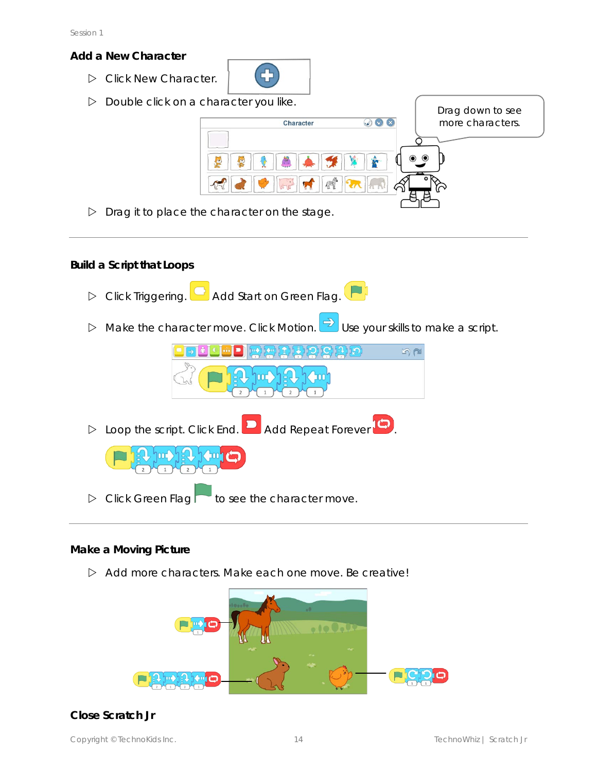**Add a New Character**

Click *New Character*.



 $\triangleright$  Double click on a character you like.



 $\triangleright$  Drag it to place the character on the stage.

**Build a Script that Loops**

- Click Triggering. Add *Start on Green Flag*.
- D Make the character move. Click Motion. **■**Use your skills to make a script.

| $\blacksquare$<br><b>TEC</b><br>мı |  |
|------------------------------------|--|

Loop the script. Click *End*. Add *Repeat Forever* .



**D** Click Green Flag to see the character move.

#### **Make a Moving Picture**

 $\triangleright$  Add more characters. Make each one move. Be creative!



#### **Close Scratch Jr**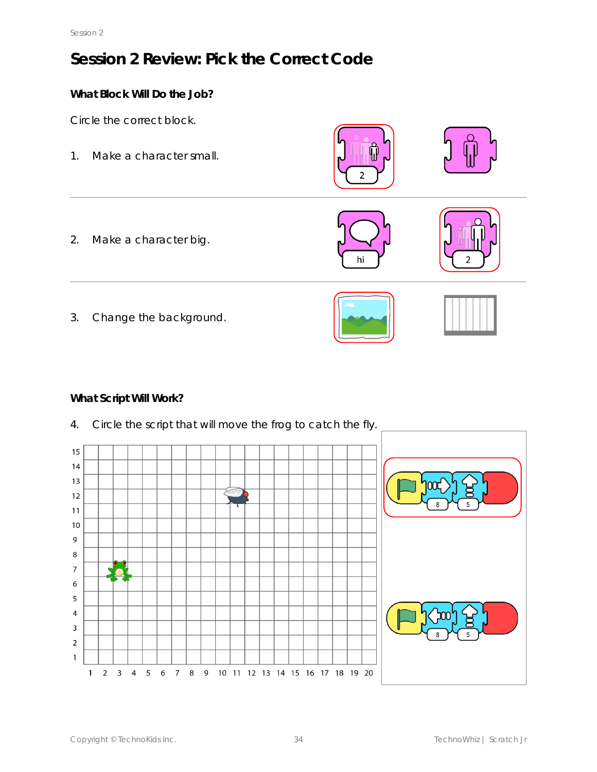# **Session 2 Review: Pick the Correct Code**

**What Block Will Do the Job?**

Circle the correct block.

1. Make a character small.





2. Make a character big.





3. Change the background.





#### **What Script Will Work?**

- 15  $14$ 13  $12$  $11$  $10\,$  $\boldsymbol{9}$ 8  $\overline{7}$ 6 5  $\overline{4}$  $\mathsf{3}$  $\mathbf 2$  $\mathbf{1}$ 1 2 3 4 5 6 7 8 9 10 11 12 13 14 15 16 17 18 19 20
- 4. Circle the script that will move the frog to catch the fly.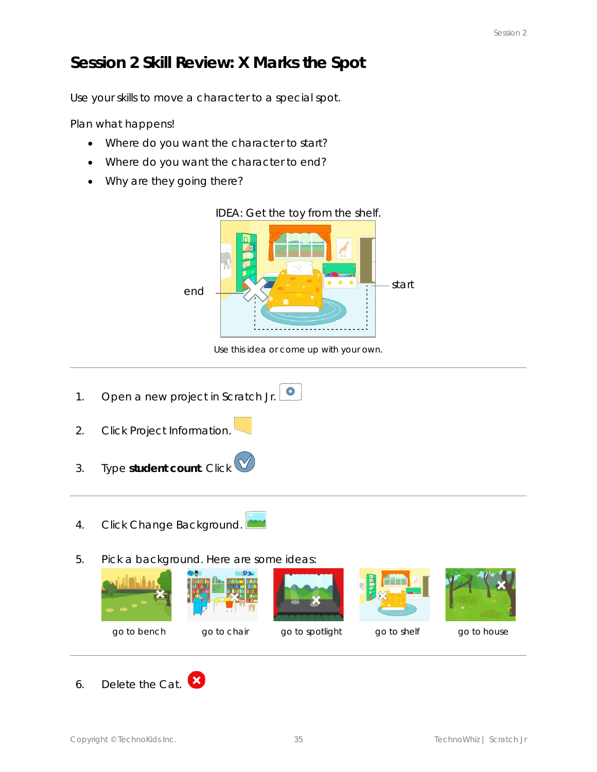### **Session 2 Skill Review: X Marks the Spot**

Use your skills to move a character to a special spot.

Plan what happens!

- Where do you want the character to start?
- Where do you want the character to end?
- Why are they going there?



Use this idea or come up with your own.

- 1. Open a new project in Scratch Jr.
- 2. Click *Project Information*.
- 3. Type student count. Click **V**
- 4. Click *Change Background*.
- 5. Pick a background. Here are some ideas:



6. Delete the *Cat*.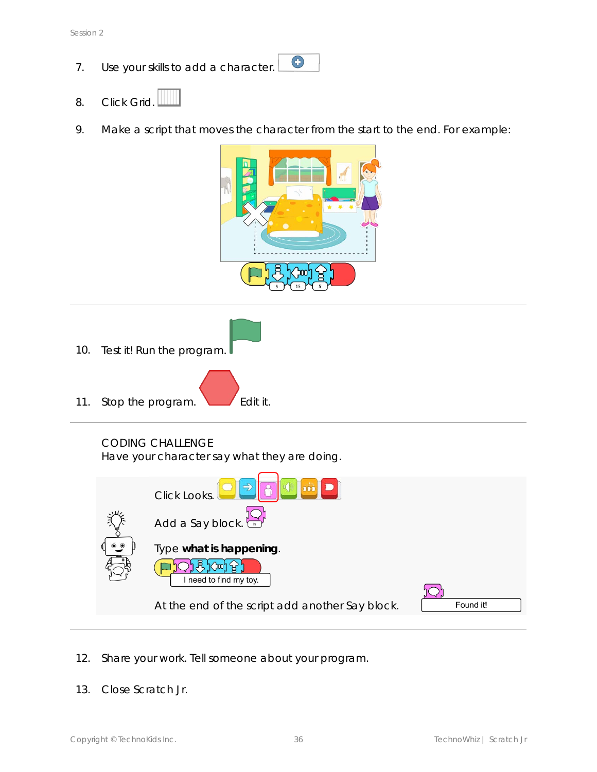7. Use your skills to add a character.



- 8. Click *Grid*.
- 9. Make a script that moves the character from the start to the end. For example:



- 10. Test it! Run the program.
- 11. Stop the program. Edit it.

#### CODING CHALLENGE

Have your character say what they are doing.



- 12. Share your work. Tell someone about your program.
- 13. Close Scratch Jr.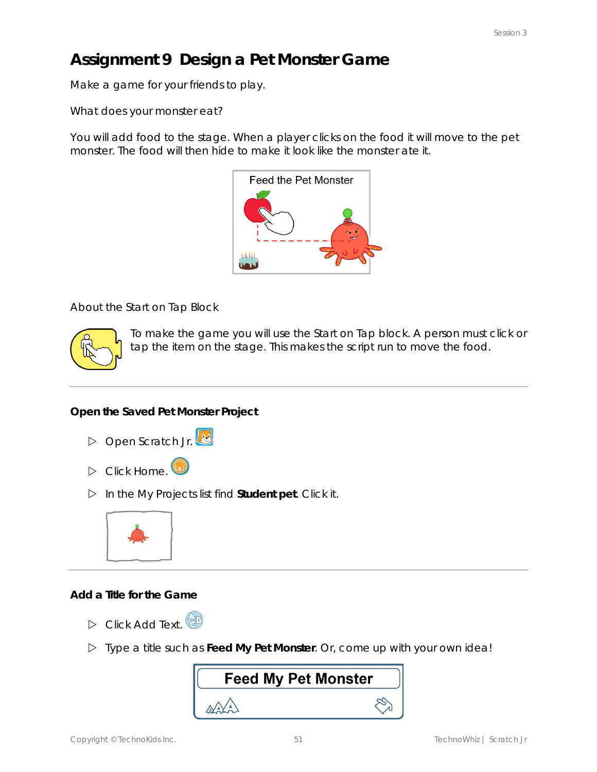# **Assignment 9 Design a Pet Monster Game**

Make a game for your friends to play.

What does your monster eat?

You will add food to the stage. When a player clicks on the food it will move to the pet monster. The food will then hide to make it look like the monster ate it.



*About the Start on Tap Block*



To make the game you will use the *Start on Tap* block. A person must click or *tap* the item on the stage. This makes the script run to move the food.

**Open the Saved Pet Monster Project**

- D Open Scratch Jr.
- Click *Home*.
- In the *My Projects* list find **Student pet**. Click it.



**Add a Title for the Game**

- **D** Click Add Text.
- Type a title such as **Feed My Pet Monster***.* Or, come up with your own idea!

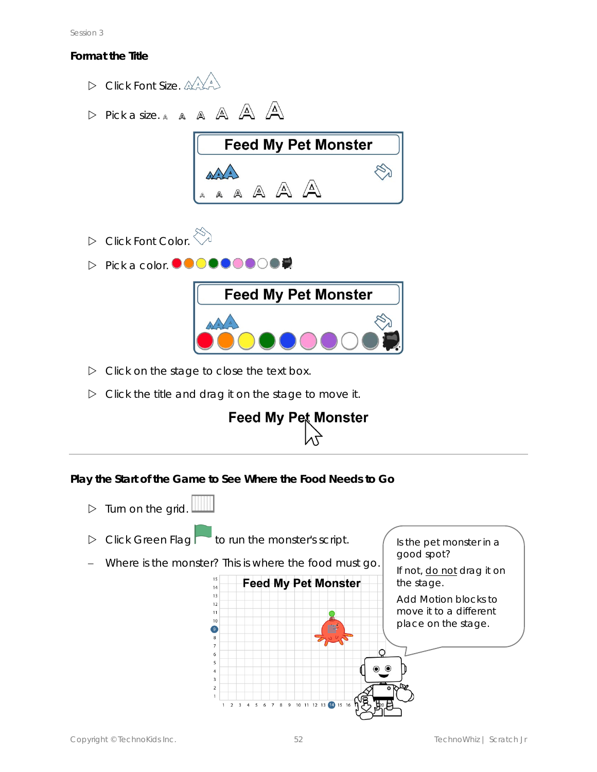**Format the Title**





**Play the Start of the Game to See Where the Food Needs to Go**

 $\triangleright$  Turn on the grid. **D** Click Green Flag to run the monster's script. Is the pet monster in a good spot? − Where is the monster? This is where the food must go. If not, do not drag it on 15 **Feed My Pet Monster** the stage.  $\overline{14}$  $13$ Add Motion blocks to  $12$ move it to a different  $11$  $10$ place on the stage. $\bullet$  $\mathbf{g}$  $\overline{6}$ 5  $\mathbf{1}$  $\overline{2}$  $\overline{\mathbf{3}}$ 10  $12$  $13(14)$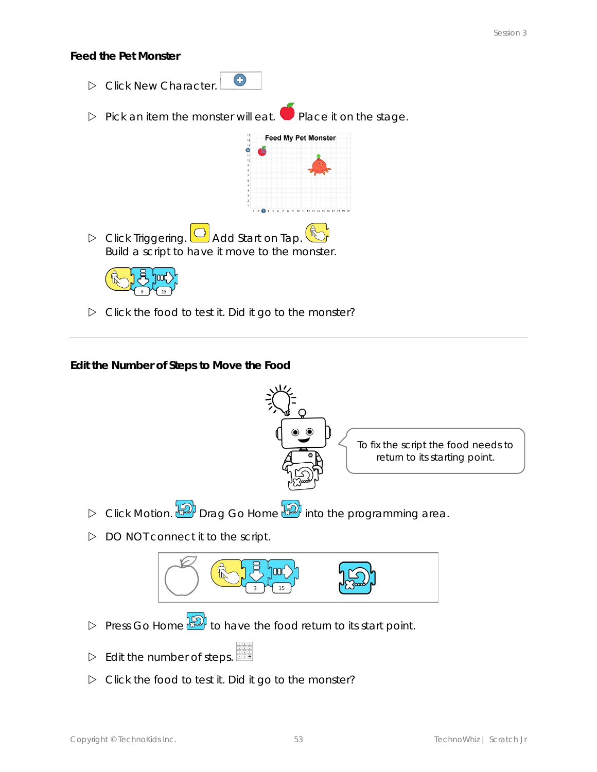**Feed the Pet Monster**

| Click New Character.                                                                             |
|--------------------------------------------------------------------------------------------------|
| Pick an item the monster will eat. $\blacksquare$ Place it on the stage.                         |
| <b>Feed My Pet Monster</b><br>œ<br>11<br>10<br>$\mathsf{o}$<br>8                                 |
| D Click Triggering. <b>B</b> Add Start on Tap.<br>Build a script to have it move to the monster. |
|                                                                                                  |
| Click the food to test it. Did it go to the monster?                                             |

**Edit the Number of Steps to Move the Food**

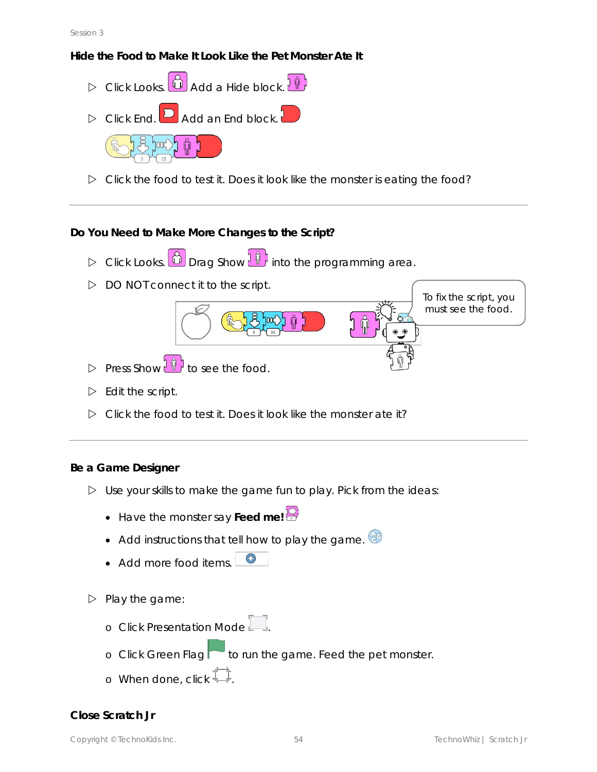**Hide the Food to Make It Look Like the Pet Monster Ate It**

- **Click Looks. Add a Hide block. A**
- **D** Click *End*. **D** Add an *End* block.



 $\triangleright$  Click the food to test it. Does it look like the monster is eating the food?

**Do You Need to Make More Changes to the Script?**

- **D** Click Looks. **D** Drag Show  $\left[\begin{matrix} \frac{1}{2} \\ 0 \end{matrix}\right]$  into the programming area.
- $\triangleright$  DO NOT connect it to the script.

**Press Show**  $\left(\begin{array}{c} \n\phi & \n\end{array}\right)$  to see the food.

- $\triangleright$  Edit the script.
- $\triangleright$  Click the food to test it. Does it look like the monster ate it?

**Be a Game Designer**

- $\triangleright$  Use your skills to make the game fun to play. Pick from the ideas:
	- Have the monster say **Feed me!**
	- Add instructions that tell how to play the game.
	- Add more food items.
- $\triangleright$  Play the game:
	- o Click Presentation Mode
	- o Click Green Flag to run the game. Feed the pet monster.
	- o When done, click  $\frac{1}{1-r}$ .

#### **Close Scratch Jr**

To fix the script, you must see the food.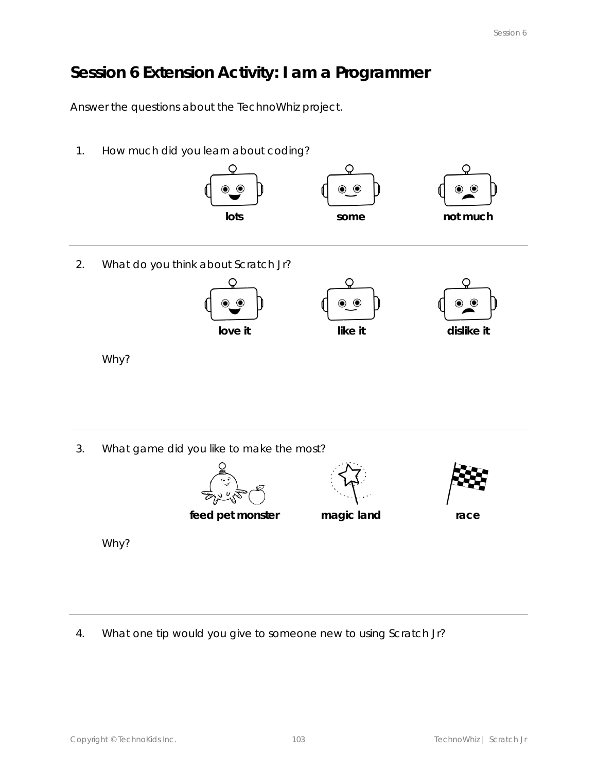# **Session 6 Extension Activity: I am a Programmer**

Answer the questions about the TechnoWhiz project.

1. How much did you learn about coding?



2. What do you think about Scratch Jr?



Why?

3. What game did you like to make the most?



Why?

4. What one tip would you give to someone new to using Scratch Jr?